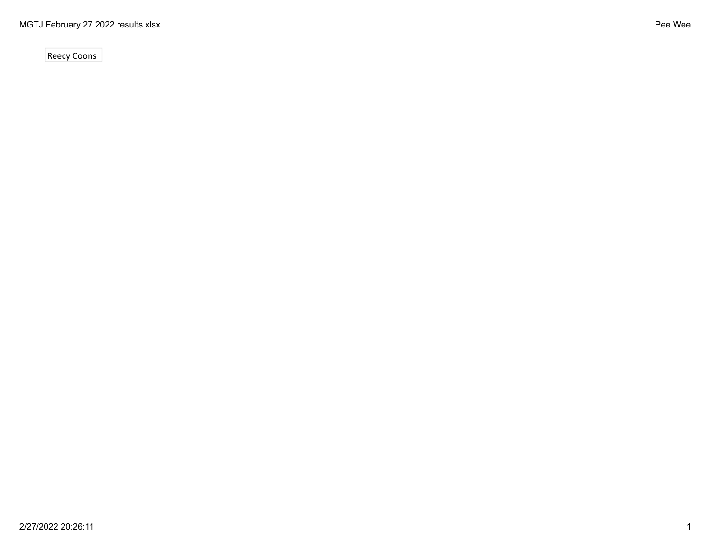**Reecy Coons**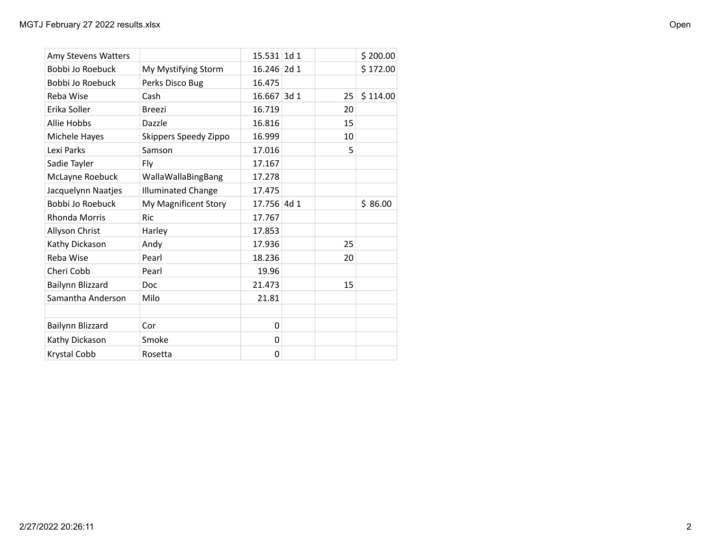| Amy Stevens Watters  |                           | 15.531 1d 1 |    | \$200.00 |
|----------------------|---------------------------|-------------|----|----------|
| Bobbi Jo Roebuck     | My Mystifying Storm       | 16.246 2d 1 |    | \$172.00 |
| Bobbi Jo Roebuck     | Perks Disco Bug           | 16.475      |    |          |
| Reba Wise            | Cash                      | 16.667 3d 1 | 25 | \$114.00 |
| Erika Soller         | <b>Breezi</b>             | 16.719      | 20 |          |
| Allie Hobbs          | Dazzle                    | 16.816      | 15 |          |
| Michele Hayes        | Skippers Speedy Zippo     | 16.999      | 10 |          |
| Lexi Parks           | Samson                    | 17.016      | 5  |          |
| Sadie Tayler         | Fly                       | 17.167      |    |          |
| McLayne Roebuck      | WallaWallaBingBang        | 17.278      |    |          |
| Jacquelynn Naatjes   | <b>Illuminated Change</b> | 17.475      |    |          |
| Bobbi Jo Roebuck     | My Magnificent Story      | 17.756 4d 1 |    | \$86.00  |
| <b>Rhonda Morris</b> | <b>Ric</b>                | 17.767      |    |          |
| Allyson Christ       | Harley                    | 17.853      |    |          |
| Kathy Dickason       | Andy                      | 17.936      | 25 |          |
| Reba Wise            | Pearl                     | 18.236      | 20 |          |
| Cheri Cobb           | Pearl                     | 19.96       |    |          |
| Bailynn Blizzard     | Doc                       | 21.473      | 15 |          |
| Samantha Anderson    | Milo                      | 21.81       |    |          |
|                      |                           |             |    |          |
| Bailynn Blizzard     | Cor                       | $\Omega$    |    |          |
| Kathy Dickason       | Smoke                     | 0           |    |          |
| Krystal Cobb         | Rosetta                   | 0           |    |          |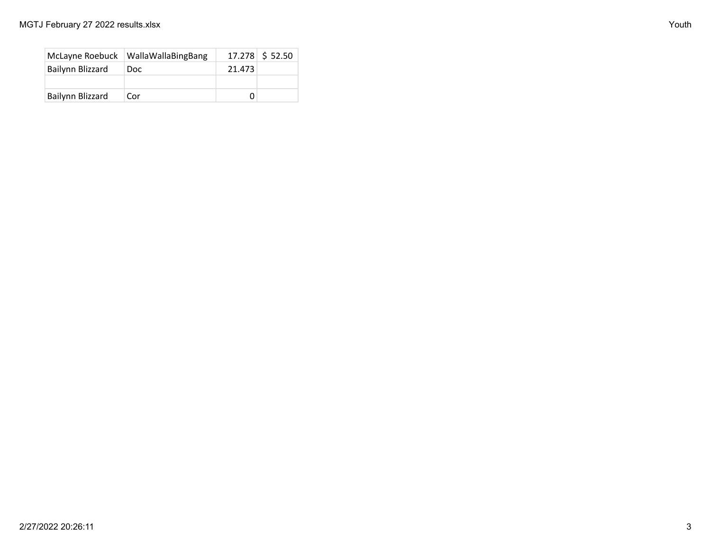|                  | McLayne Roebuck   WallaWallaBingBang |        | 17.278 \$52.50 |
|------------------|--------------------------------------|--------|----------------|
| Bailynn Blizzard | Doc.                                 | 21.473 |                |
|                  |                                      |        |                |
| Bailynn Blizzard | Cor                                  |        |                |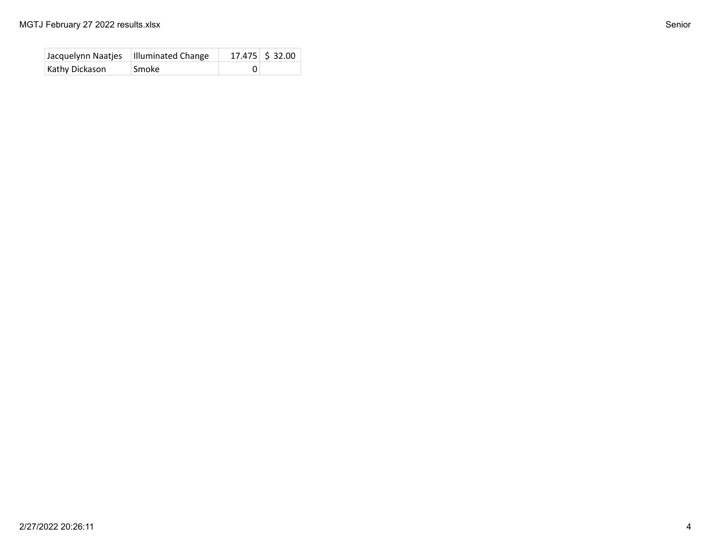| Jacquelynn Naatjes   Illuminated Change |          | 17.475 \$32.00 |
|-----------------------------------------|----------|----------------|
| Kathy Dickason                          | ∣Smoke i |                |